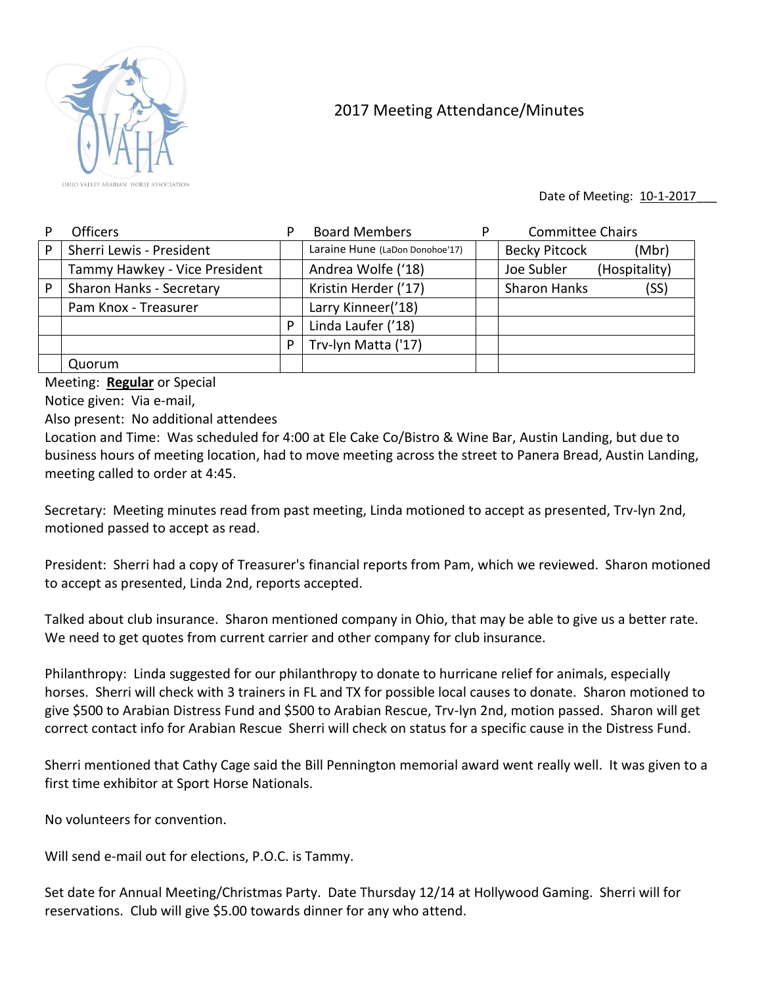

## 2017 Meeting Attendance/Minutes

Date of Meeting: 10-1-2017

|   | <b>Officers</b>               | P | <b>Board Members</b>            | D | <b>Committee Chairs</b>       |
|---|-------------------------------|---|---------------------------------|---|-------------------------------|
| P | Sherri Lewis - President      |   | Laraine Hune (LaDon Donohoe'17) |   | <b>Becky Pitcock</b><br>(Mbr) |
|   | Tammy Hawkey - Vice President |   | Andrea Wolfe ('18)              |   | Joe Subler<br>(Hospitality)   |
| P | Sharon Hanks - Secretary      |   | Kristin Herder ('17)            |   | <b>Sharon Hanks</b><br>(SS)   |
|   | Pam Knox - Treasurer          |   | Larry Kinneer('18)              |   |                               |
|   |                               | P | Linda Laufer ('18)              |   |                               |
|   |                               | P | Trv-lyn Matta ('17)             |   |                               |
|   | Quorum                        |   |                                 |   |                               |

Meeting: **Regular** or Special

Notice given: Via e-mail,

Also present: No additional attendees

Location and Time: Was scheduled for 4:00 at Ele Cake Co/Bistro & Wine Bar, Austin Landing, but due to business hours of meeting location, had to move meeting across the street to Panera Bread, Austin Landing, meeting called to order at 4:45.

Secretary: Meeting minutes read from past meeting, Linda motioned to accept as presented, Trv-lyn 2nd, motioned passed to accept as read.

President: Sherri had a copy of Treasurer's financial reports from Pam, which we reviewed. Sharon motioned to accept as presented, Linda 2nd, reports accepted.

Talked about club insurance. Sharon mentioned company in Ohio, that may be able to give us a better rate. We need to get quotes from current carrier and other company for club insurance.

Philanthropy: Linda suggested for our philanthropy to donate to hurricane relief for animals, especially horses. Sherri will check with 3 trainers in FL and TX for possible local causes to donate. Sharon motioned to give \$500 to Arabian Distress Fund and \$500 to Arabian Rescue, Trv-lyn 2nd, motion passed. Sharon will get correct contact info for Arabian Rescue Sherri will check on status for a specific cause in the Distress Fund.

Sherri mentioned that Cathy Cage said the Bill Pennington memorial award went really well. It was given to a first time exhibitor at Sport Horse Nationals.

No volunteers for convention.

Will send e-mail out for elections, P.O.C. is Tammy.

Set date for Annual Meeting/Christmas Party. Date Thursday 12/14 at Hollywood Gaming. Sherri will for reservations. Club will give \$5.00 towards dinner for any who attend.